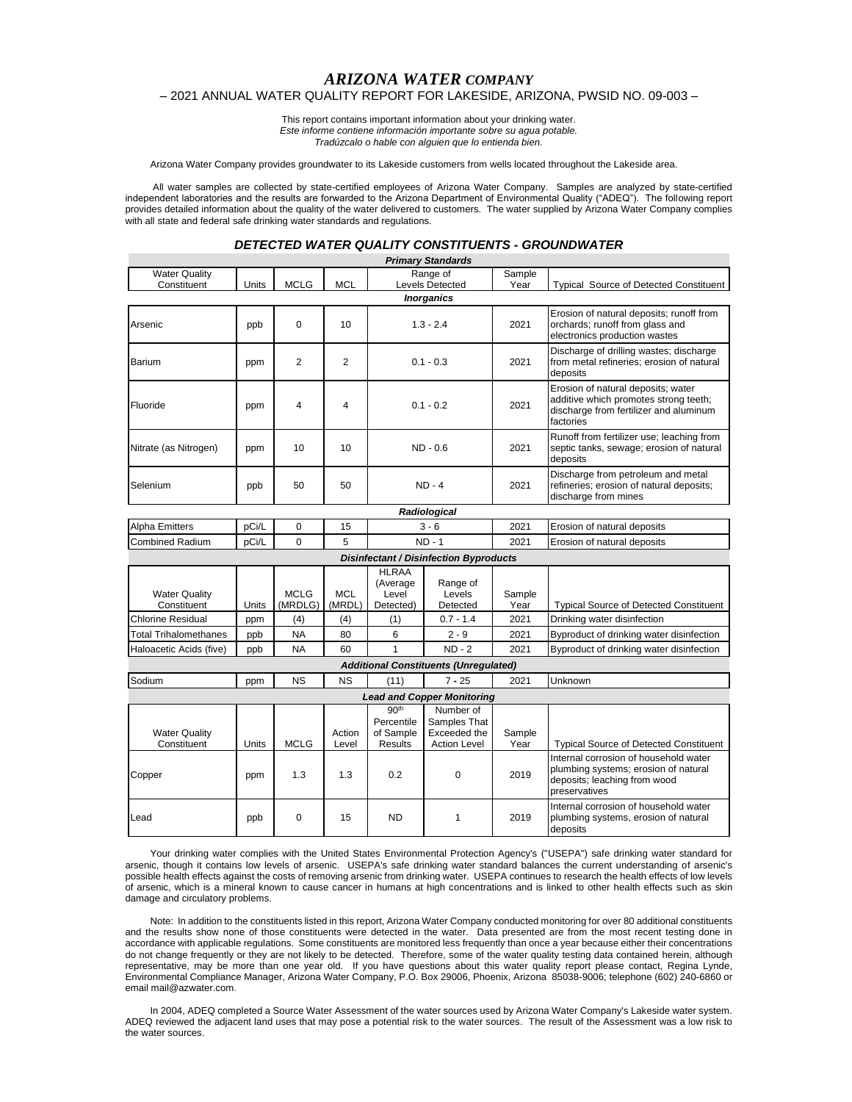## *ARIZONA WATER COMPANY* – 2021 ANNUAL WATER QUALITY REPORT FOR LAKESIDE, ARIZONA, PWSID NO. 09-003 –

This report contains important information about your drinking water. *Este informe contiene información importante sobre su agua potable. Tradúzcalo o hable con alguien que lo entienda bien.*

Arizona Water Company provides groundwater to its Lakeside customers from wells located throughout the Lakeside area.

All water samples are collected by state-certified employees of Arizona Water Company. Samples are analyzed by state-certified independent laboratories and the results are forwarded to the Arizona Department of Environmental Quality ("ADEQ"). The following report provides detailed information about the quality of the water delivered to customers. The water supplied by Arizona Water Company complies with all state and federal safe drinking water standards and regulations.

## *DETECTED WATER QUALITY CONSTITUENTS - GROUNDWATER*

| <b>Primary Standards</b>                      |       |                         |                      |                                                        |                                                                  |                |                                                                                                                                    |  |  |
|-----------------------------------------------|-------|-------------------------|----------------------|--------------------------------------------------------|------------------------------------------------------------------|----------------|------------------------------------------------------------------------------------------------------------------------------------|--|--|
| <b>Water Quality</b><br>Constituent           | Units | <b>MCLG</b>             | <b>MCL</b>           |                                                        | Range of<br><b>Levels Detected</b>                               | Sample<br>Year | <b>Typical Source of Detected Constituent</b>                                                                                      |  |  |
| <b>Inorganics</b>                             |       |                         |                      |                                                        |                                                                  |                |                                                                                                                                    |  |  |
| Arsenic                                       | ppb   | 0                       | 10                   | $1.3 - 2.4$                                            |                                                                  | 2021           | Erosion of natural deposits; runoff from<br>orchards; runoff from glass and<br>electronics production wastes                       |  |  |
| Barium                                        | ppm   | $\overline{2}$          | $\overline{2}$       | $0.1 - 0.3$                                            |                                                                  | 2021           | Discharge of drilling wastes; discharge<br>from metal refineries; erosion of natural<br>deposits                                   |  |  |
| Fluoride                                      | ppm   | $\overline{\mathbf{4}}$ | 4                    | $0.1 - 0.2$                                            |                                                                  | 2021           | Erosion of natural deposits; water<br>additive which promotes strong teeth;<br>discharge from fertilizer and aluminum<br>factories |  |  |
| Nitrate (as Nitrogen)                         | ppm   | 10                      | 10                   | $ND - 0.6$                                             |                                                                  | 2021           | Runoff from fertilizer use; leaching from<br>septic tanks, sewage; erosion of natural<br>deposits                                  |  |  |
| Selenium                                      | ppb   | 50                      | 50                   | $ND - 4$                                               |                                                                  | 2021           | Discharge from petroleum and metal<br>refineries; erosion of natural deposits;<br>discharge from mines                             |  |  |
|                                               |       |                         |                      |                                                        | Radiological                                                     |                |                                                                                                                                    |  |  |
| Alpha Emitters                                | pCi/L | 0                       | 15                   | $3 - 6$                                                |                                                                  | 2021           | Erosion of natural deposits                                                                                                        |  |  |
| <b>Combined Radium</b>                        | pCi/L | $\Omega$                | 5                    |                                                        | $ND - 1$                                                         | 2021           | Erosion of natural deposits                                                                                                        |  |  |
| <b>Disinfectant / Disinfection Byproducts</b> |       |                         |                      |                                                        |                                                                  |                |                                                                                                                                    |  |  |
| <b>Water Quality</b><br>Constituent           | Units | <b>MCLG</b><br>(MRDLG)  | <b>MCL</b><br>(MRDL) | <b>HLRAA</b><br>(Average<br>Level<br>Detected)         | Range of<br>Levels<br>Detected                                   | Sample<br>Year | <b>Typical Source of Detected Constituent</b>                                                                                      |  |  |
| <b>Chlorine Residual</b>                      | ppm   | (4)                     | (4)                  | (1)                                                    | $0.7 - 1.4$                                                      | 2021           | Drinking water disinfection                                                                                                        |  |  |
| <b>Total Trihalomethanes</b>                  | ppb   | <b>NA</b>               | 80                   | 6                                                      | $2 - 9$                                                          | 2021           | Byproduct of drinking water disinfection                                                                                           |  |  |
| Haloacetic Acids (five)                       | ppb   | <b>NA</b>               | 60                   | $\mathbf{1}$                                           | $ND - 2$                                                         | 2021           | Byproduct of drinking water disinfection                                                                                           |  |  |
|                                               |       |                         |                      |                                                        | <b>Additional Constituents (Unregulated)</b>                     |                |                                                                                                                                    |  |  |
| Sodium                                        | ppm   | <b>NS</b>               | <b>NS</b>            | (11)                                                   | $7 - 25$                                                         | 2021           | Unknown                                                                                                                            |  |  |
|                                               |       |                         |                      |                                                        | <b>Lead and Copper Monitoring</b>                                |                |                                                                                                                                    |  |  |
| <b>Water Quality</b><br>Constituent           | Units | <b>MCLG</b>             | Action<br>Level      | 90 <sup>th</sup><br>Percentile<br>of Sample<br>Results | Number of<br>Samples That<br>Exceeded the<br><b>Action Level</b> | Sample<br>Year | <b>Typical Source of Detected Constituent</b>                                                                                      |  |  |
| Copper                                        | ppm   | 1.3                     | 1.3                  | 0.2                                                    | 0                                                                | 2019           | Internal corrosion of household water<br>plumbing systems; erosion of natural<br>deposits; leaching from wood<br>preservatives     |  |  |
| Lead                                          | ppb   | 0                       | 15                   | ND.                                                    | 1                                                                | 2019           | Internal corrosion of household water<br>plumbing systems, erosion of natural<br>deposits                                          |  |  |

Your drinking water complies with the United States Environmental Protection Agency's ("USEPA") safe drinking water standard for arsenic, though it contains low levels of arsenic. USEPA's safe drinking water standard balances the current understanding of arsenic's possible health effects against the costs of removing arsenic from drinking water. USEPA continues to research the health effects of low levels of arsenic, which is a mineral known to cause cancer in humans at high concentrations and is linked to other health effects such as skin damage and circulatory problems.

Note: In addition to the constituents listed in this report, Arizona Water Company conducted monitoring for over 80 additional constituents and the results show none of those constituents were detected in the water. Data presented are from the most recent testing done in accordance with applicable regulations. Some constituents are monitored less frequently than once a year because either their concentrations do not change frequently or they are not likely to be detected. Therefore, some of the water quality testing data contained herein, although representative, may be more than one year old. If you have questions about this water quality report please contact, Regina Lynde, Environmental Compliance Manager, Arizona Water Company, P.O. Box 29006, Phoenix, Arizona 85038-9006; telephone (602) 240-6860 or email mail@azwater.com.

In 2004, ADEQ completed a Source Water Assessment of the water sources used by Arizona Water Company's Lakeside water system. ADEQ reviewed the adjacent land uses that may pose a potential risk to the water sources. The result of the Assessment was a low risk to the water sources.